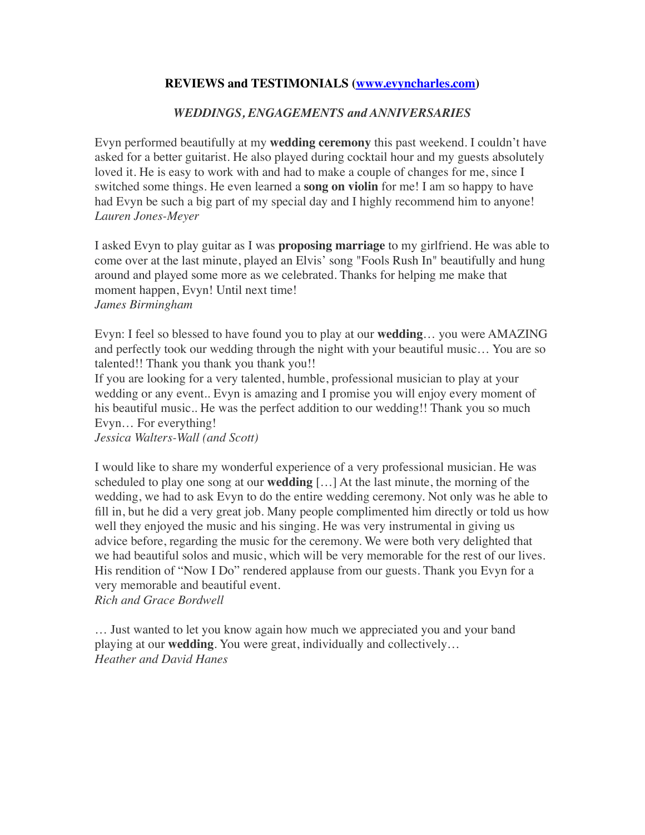## **REVIEWS and TESTIMONIALS [\(www.evyncharles.com](http://www.evyncharles.com))**

## *WEDDINGS, ENGAGEMENTS and ANNIVERSARIES*

Evyn performed beautifully at my **wedding ceremony** this past weekend. I couldn't have asked for a better guitarist. He also played during cocktail hour and my guests absolutely loved it. He is easy to work with and had to make a couple of changes for me, since I switched some things. He even learned a **song on violin** for me! I am so happy to have had Evyn be such a big part of my special day and I highly recommend him to anyone! *Lauren Jones-Meyer*

I asked Evyn to play guitar as I was **proposing marriage** to my girlfriend. He was able to come over at the last minute, played an Elvis' song "Fools Rush In" beautifully and hung around and played some more as we celebrated. Thanks for helping me make that moment happen, Evyn! Until next time! *James Birmingham*

Evyn: I feel so blessed to have found you to play at our **wedding**… you were AMAZING and perfectly took our wedding through the night with your beautiful music… You are so talented!! Thank you thank you thank you!!

If you are looking for a very talented, humble, professional musician to play at your wedding or any event.. Evyn is amazing and I promise you will enjoy every moment of his beautiful music.. He was the perfect addition to our wedding!! Thank you so much Evyn… For everything!

*Jessica Walters-Wall (and Scott)*

I would like to share my wonderful experience of a very professional musician. He was scheduled to play one song at our **wedding** […] At the last minute, the morning of the wedding, we had to ask Evyn to do the entire wedding ceremony. Not only was he able to fill in, but he did a very great job. Many people complimented him directly or told us how well they enjoyed the music and his singing. He was very instrumental in giving us advice before, regarding the music for the ceremony. We were both very delighted that we had beautiful solos and music, which will be very memorable for the rest of our lives. His rendition of "Now I Do" rendered applause from our guests. Thank you Evyn for a very memorable and beautiful event. *Rich and Grace Bordwell*

… Just wanted to let you know again how much we appreciated you and your band playing at our **wedding**. You were great, individually and collectively…

*Heather and David Hanes*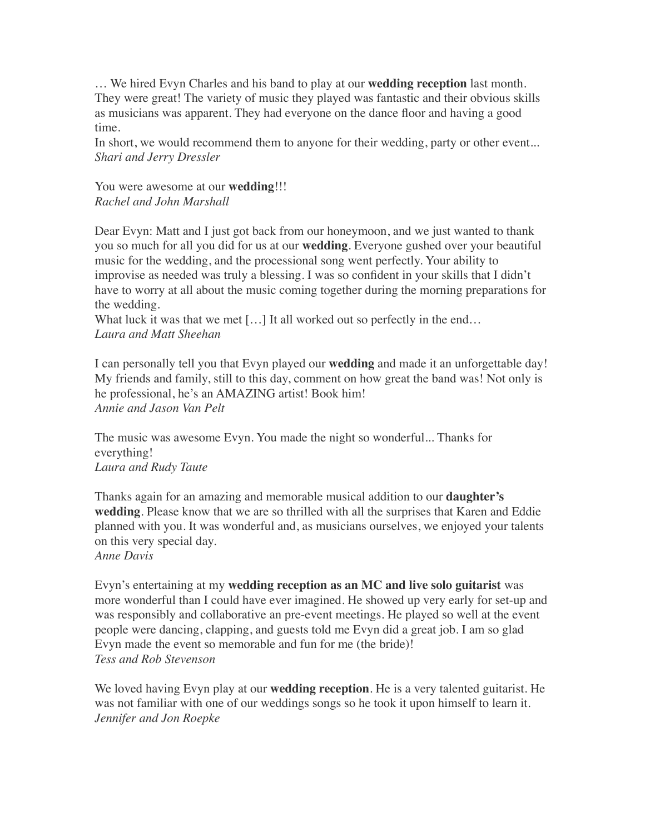… We hired Evyn Charles and his band to play at our **wedding reception** last month. They were great! The variety of music they played was fantastic and their obvious skills as musicians was apparent. They had everyone on the dance floor and having a good time.

In short, we would recommend them to anyone for their wedding, party or other event... *Shari and Jerry Dressler*

You were awesome at our **wedding**!!! *Rachel and John Marshall*

Dear Evyn: Matt and I just got back from our honeymoon, and we just wanted to thank you so much for all you did for us at our **wedding**. Everyone gushed over your beautiful music for the wedding, and the processional song went perfectly. Your ability to improvise as needed was truly a blessing. I was so confident in your skills that I didn't have to worry at all about the music coming together during the morning preparations for the wedding.

What luck it was that we met [...] It all worked out so perfectly in the end... *Laura and Matt Sheehan*

I can personally tell you that Evyn played our **wedding** and made it an unforgettable day! My friends and family, still to this day, comment on how great the band was! Not only is he professional, he's an AMAZING artist! Book him! *Annie and Jason Van Pelt*

The music was awesome Evyn. You made the night so wonderful... Thanks for everything! *Laura and Rudy Taute*

Thanks again for an amazing and memorable musical addition to our **daughter's wedding**. Please know that we are so thrilled with all the surprises that Karen and Eddie planned with you. It was wonderful and, as musicians ourselves, we enjoyed your talents on this very special day. *Anne Davis*

Evyn's entertaining at my **wedding reception as an MC and live solo guitarist** was more wonderful than I could have ever imagined. He showed up very early for set-up and was responsibly and collaborative an pre-event meetings. He played so well at the event people were dancing, clapping, and guests told me Evyn did a great job. I am so glad Evyn made the event so memorable and fun for me (the bride)! *Tess and Rob Stevenson*

We loved having Evyn play at our **wedding reception**. He is a very talented guitarist. He was not familiar with one of our weddings songs so he took it upon himself to learn it. *Jennifer and Jon Roepke*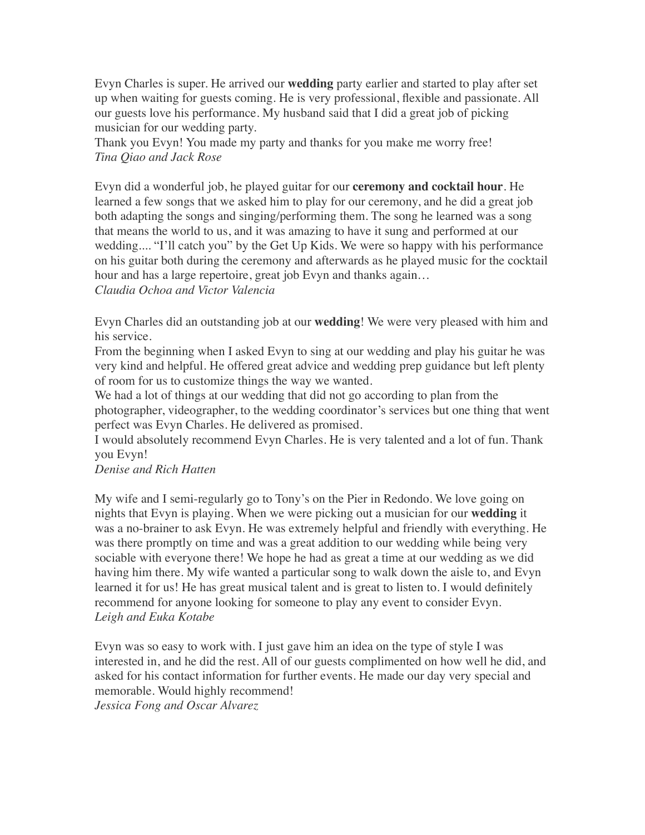Evyn Charles is super. He arrived our **wedding** party earlier and started to play after set up when waiting for guests coming. He is very professional, flexible and passionate. All our guests love his performance. My husband said that I did a great job of picking musician for our wedding party.

Thank you Evyn! You made my party and thanks for you make me worry free! *Tina Qiao and Jack Rose*

Evyn did a wonderful job, he played guitar for our **ceremony and cocktail hour**. He learned a few songs that we asked him to play for our ceremony, and he did a great job both adapting the songs and singing/performing them. The song he learned was a song that means the world to us, and it was amazing to have it sung and performed at our wedding.... "I'll catch you" by the Get Up Kids. We were so happy with his performance on his guitar both during the ceremony and afterwards as he played music for the cocktail hour and has a large repertoire, great job Evyn and thanks again... *Claudia Ochoa and Victor Valencia*

Evyn Charles did an outstanding job at our **wedding**! We were very pleased with him and his service.

From the beginning when I asked Evyn to sing at our wedding and play his guitar he was very kind and helpful. He offered great advice and wedding prep guidance but left plenty of room for us to customize things the way we wanted.

We had a lot of things at our wedding that did not go according to plan from the photographer, videographer, to the wedding coordinator's services but one thing that went perfect was Evyn Charles. He delivered as promised.

I would absolutely recommend Evyn Charles. He is very talented and a lot of fun. Thank you Evyn!

#### *Denise and Rich Hatten*

My wife and I semi-regularly go to Tony's on the Pier in Redondo. We love going on nights that Evyn is playing. When we were picking out a musician for our **wedding** it was a no-brainer to ask Evyn. He was extremely helpful and friendly with everything. He was there promptly on time and was a great addition to our wedding while being very sociable with everyone there! We hope he had as great a time at our wedding as we did having him there. My wife wanted a particular song to walk down the aisle to, and Evyn learned it for us! He has great musical talent and is great to listen to. I would definitely recommend for anyone looking for someone to play any event to consider Evyn. *Leigh and Euka Kotabe*

Evyn was so easy to work with. I just gave him an idea on the type of style I was interested in, and he did the rest. All of our guests complimented on how well he did, and asked for his contact information for further events. He made our day very special and memorable. Would highly recommend! *Jessica Fong and Oscar Alvarez*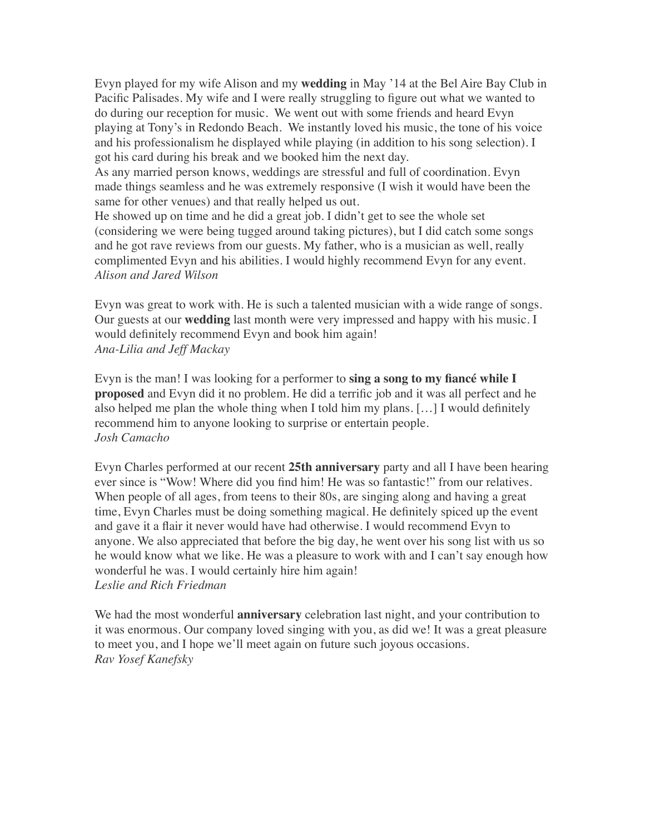Evyn played for my wife Alison and my **wedding** in May '14 at the Bel Aire Bay Club in Pacific Palisades. My wife and I were really struggling to figure out what we wanted to do during our reception for music. We went out with some friends and heard Evyn playing at Tony's in Redondo Beach. We instantly loved his music, the tone of his voice and his professionalism he displayed while playing (in addition to his song selection). I got his card during his break and we booked him the next day.

As any married person knows, weddings are stressful and full of coordination. Evyn made things seamless and he was extremely responsive (I wish it would have been the same for other venues) and that really helped us out.

He showed up on time and he did a great job. I didn't get to see the whole set (considering we were being tugged around taking pictures), but I did catch some songs and he got rave reviews from our guests. My father, who is a musician as well, really complimented Evyn and his abilities. I would highly recommend Evyn for any event. *Alison and Jared Wilson*

Evyn was great to work with. He is such a talented musician with a wide range of songs. Our guests at our **wedding** last month were very impressed and happy with his music. I would definitely recommend Evyn and book him again! *Ana-Lilia and Jeff Mackay*

Evyn is the man! I was looking for a performer to **sing a song to my fiancé while I proposed** and Evyn did it no problem. He did a terrific job and it was all perfect and he also helped me plan the whole thing when I told him my plans. […] I would definitely recommend him to anyone looking to surprise or entertain people. *Josh Camacho*

Evyn Charles performed at our recent **25th anniversary** party and all I have been hearing ever since is "Wow! Where did you find him! He was so fantastic!" from our relatives. When people of all ages, from teens to their 80s, are singing along and having a great time, Evyn Charles must be doing something magical. He definitely spiced up the event and gave it a flair it never would have had otherwise. I would recommend Evyn to anyone. We also appreciated that before the big day, he went over his song list with us so he would know what we like. He was a pleasure to work with and I can't say enough how wonderful he was. I would certainly hire him again! *Leslie and Rich Friedman*

We had the most wonderful **anniversary** celebration last night, and your contribution to it was enormous. Our company loved singing with you, as did we! It was a great pleasure to meet you, and I hope we'll meet again on future such joyous occasions. *Rav Yosef Kanefsky*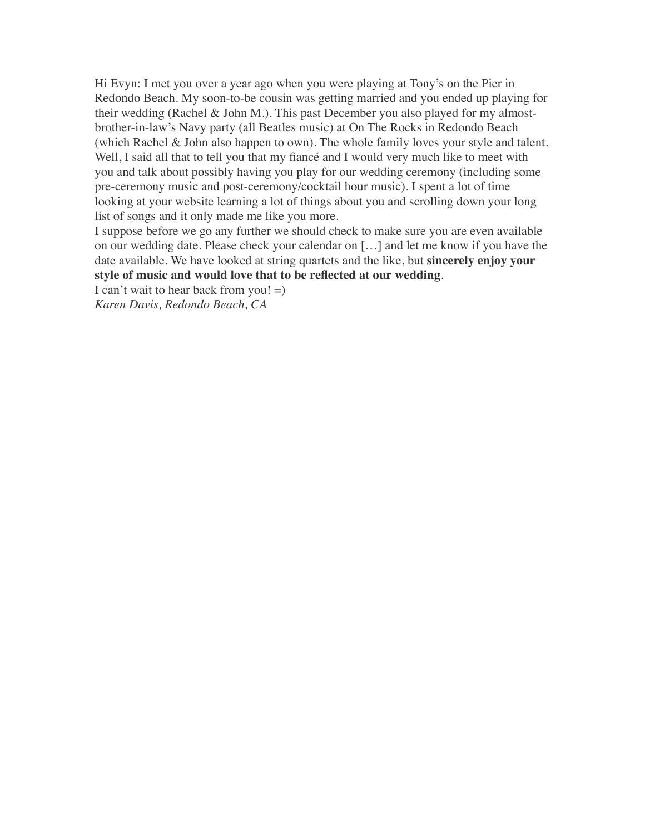Hi Evyn: I met you over a year ago when you were playing at Tony's on the Pier in Redondo Beach. My soon-to-be cousin was getting married and you ended up playing for their wedding (Rachel & John M.). This past December you also played for my almostbrother-in-law's Navy party (all Beatles music) at On The Rocks in Redondo Beach (which Rachel & John also happen to own). The whole family loves your style and talent. Well, I said all that to tell you that my fiancé and I would very much like to meet with you and talk about possibly having you play for our wedding ceremony (including some pre-ceremony music and post-ceremony/cocktail hour music). I spent a lot of time looking at your website learning a lot of things about you and scrolling down your long list of songs and it only made me like you more.

I suppose before we go any further we should check to make sure you are even available on our wedding date. Please check your calendar on […] and let me know if you have the date available. We have looked at string quartets and the like, but **sincerely enjoy your style of music and would love that to be reflected at our wedding**.

I can't wait to hear back from you!  $=$ ) *Karen Davis, Redondo Beach, CA*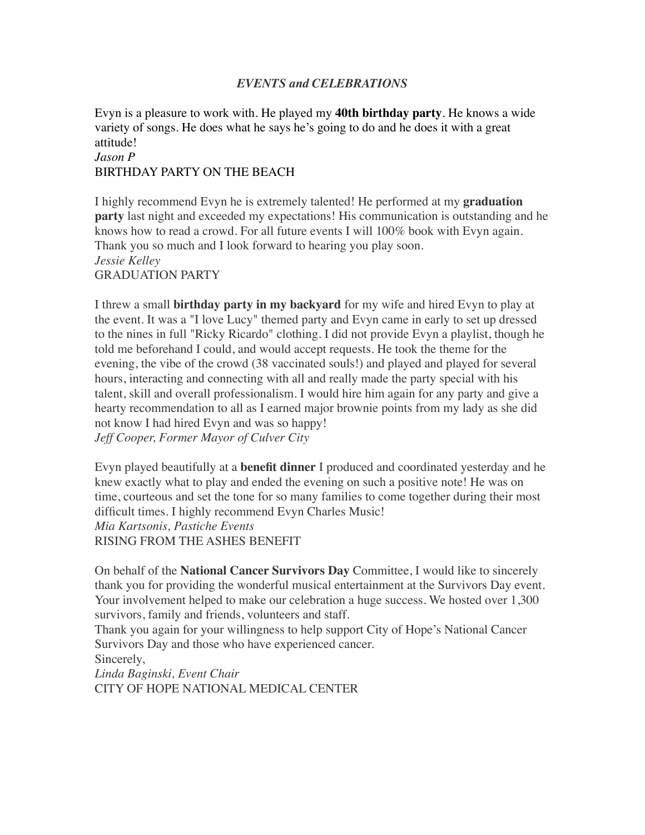## *EVENTS and CELEBRATIONS*

Evyn is a pleasure to work with. He played my **40th birthday party**. He knows a wide variety of songs. He does what he says he's going to do and he does it with a great attitude! *Jason P*

## BIRTHDAY PARTY ON THE BEACH

I highly recommend Evyn he is extremely talented! He performed at my **graduation party** last night and exceeded my expectations! His communication is outstanding and he knows how to read a crowd. For all future events I will 100% book with Evyn again. Thank you so much and I look forward to hearing you play soon. *Jessie Kelley* GRADUATION PARTY

I threw a small **birthday party in my backyard** for my wife and hired Evyn to play at the event. It was a "I love Lucy" themed party and Evyn came in early to set up dressed to the nines in full "Ricky Ricardo" clothing. I did not provide Evyn a playlist, though he told me beforehand I could, and would accept requests. He took the theme for the evening, the vibe of the crowd (38 vaccinated souls!) and played and played for several hours, interacting and connecting with all and really made the party special with his talent, skill and overall professionalism. I would hire him again for any party and give a hearty recommendation to all as I earned major brownie points from my lady as she did not know I had hired Evyn and was so happy! *Jeff Cooper, Former Mayor of Culver City*

Evyn played beautifully at a **benefit dinner** I produced and coordinated yesterday and he knew exactly what to play and ended the evening on such a positive note! He was on time, courteous and set the tone for so many families to come together during their most difficult times. I highly recommend Evyn Charles Music! *Mia Kartsonis, Pastiche Events* RISING FROM THE ASHES BENEFIT

On behalf of the **National Cancer Survivors Day** Committee, I would like to sincerely thank you for providing the wonderful musical entertainment at the Survivors Day event. Your involvement helped to make our celebration a huge success. We hosted over 1,300 survivors, family and friends, volunteers and staff.

Thank you again for your willingness to help support City of Hope's National Cancer Survivors Day and those who have experienced cancer.

Sincerely,

*Linda Baginski, Event Chair* CITY OF HOPE NATIONAL MEDICAL CENTER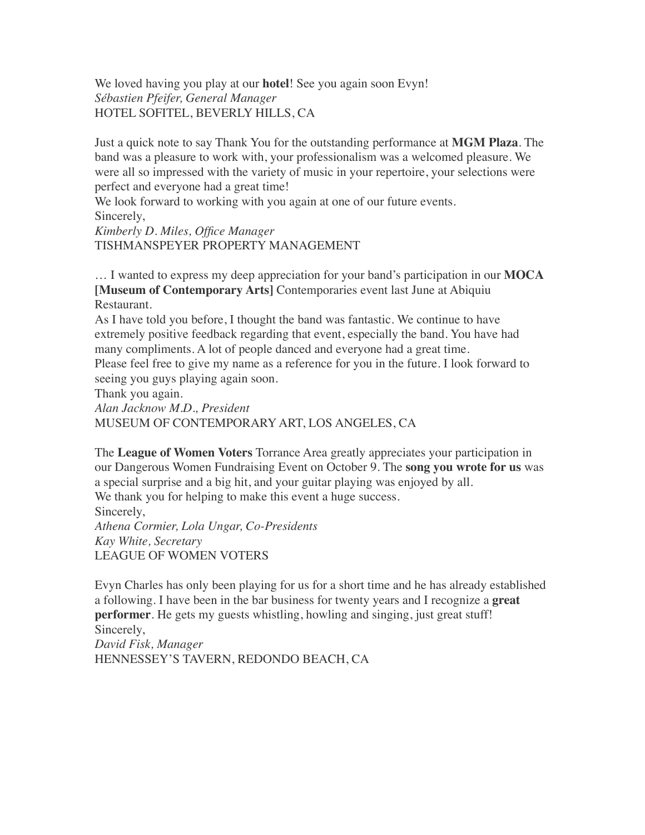We loved having you play at our **hotel**! See you again soon Evyn! *Sébastien Pfeifer, General Manager* HOTEL SOFITEL, BEVERLY HILLS, CA

Just a quick note to say Thank You for the outstanding performance at **MGM Plaza**. The band was a pleasure to work with, your professionalism was a welcomed pleasure. We were all so impressed with the variety of music in your repertoire, your selections were perfect and everyone had a great time!

We look forward to working with you again at one of our future events. Sincerely,

*Kimberly D. Miles, Office Manager* TISHMANSPEYER PROPERTY MANAGEMENT

… I wanted to express my deep appreciation for your band's participation in our **MOCA [Museum of Contemporary Arts]** Contemporaries event last June at Abiquiu Restaurant.

As I have told you before, I thought the band was fantastic. We continue to have extremely positive feedback regarding that event, especially the band. You have had many compliments. A lot of people danced and everyone had a great time. Please feel free to give my name as a reference for you in the future. I look forward to

seeing you guys playing again soon.

Thank you again.

*Alan Jacknow M.D., President* MUSEUM OF CONTEMPORARY ART, LOS ANGELES, CA

The **League of Women Voters** Torrance Area greatly appreciates your participation in our Dangerous Women Fundraising Event on October 9. The **song you wrote for us** was a special surprise and a big hit, and your guitar playing was enjoyed by all. We thank you for helping to make this event a huge success. Sincerely, *Athena Cormier, Lola Ungar, Co-Presidents*

*Kay White, Secretary* LEAGUE OF WOMEN VOTERS

Evyn Charles has only been playing for us for a short time and he has already established a following. I have been in the bar business for twenty years and I recognize a **great performer**. He gets my guests whistling, howling and singing, just great stuff! Sincerely,

*David Fisk, Manager* HENNESSEY'S TAVERN, REDONDO BEACH, CA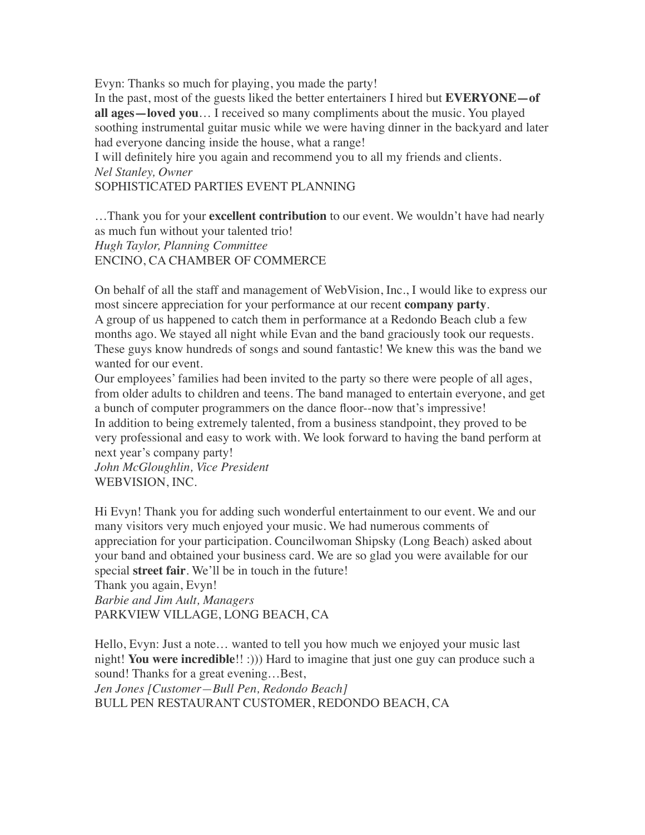Evyn: Thanks so much for playing, you made the party!

In the past, most of the guests liked the better entertainers I hired but **EVERYONE—of all ages—loved you**… I received so many compliments about the music. You played soothing instrumental guitar music while we were having dinner in the backyard and later had everyone dancing inside the house, what a range!

I will definitely hire you again and recommend you to all my friends and clients. *Nel Stanley, Owner*

SOPHISTICATED PARTIES EVENT PLANNING

…Thank you for your **excellent contribution** to our event. We wouldn't have had nearly as much fun without your talented trio! *Hugh Taylor, Planning Committee* ENCINO, CA CHAMBER OF COMMERCE

On behalf of all the staff and management of WebVision, Inc., I would like to express our most sincere appreciation for your performance at our recent **company party**. A group of us happened to catch them in performance at a Redondo Beach club a few months ago. We stayed all night while Evan and the band graciously took our requests. These guys know hundreds of songs and sound fantastic! We knew this was the band we wanted for our event.

Our employees' families had been invited to the party so there were people of all ages, from older adults to children and teens. The band managed to entertain everyone, and get a bunch of computer programmers on the dance floor--now that's impressive! In addition to being extremely talented, from a business standpoint, they proved to be very professional and easy to work with. We look forward to having the band perform at next year's company party!

*John McGloughlin, Vice President* WEBVISION, INC.

Hi Evyn! Thank you for adding such wonderful entertainment to our event. We and our many visitors very much enjoyed your music. We had numerous comments of appreciation for your participation. Councilwoman Shipsky (Long Beach) asked about your band and obtained your business card. We are so glad you were available for our special **street fair**. We'll be in touch in the future!

Thank you again, Evyn! *Barbie and Jim Ault, Managers* PARKVIEW VILLAGE, LONG BEACH, CA

Hello, Evyn: Just a note… wanted to tell you how much we enjoyed your music last night! **You were incredible**!! :))) Hard to imagine that just one guy can produce such a sound! Thanks for a great evening...Best,

*Jen Jones [Customer—Bull Pen, Redondo Beach]* BULL PEN RESTAURANT CUSTOMER, REDONDO BEACH, CA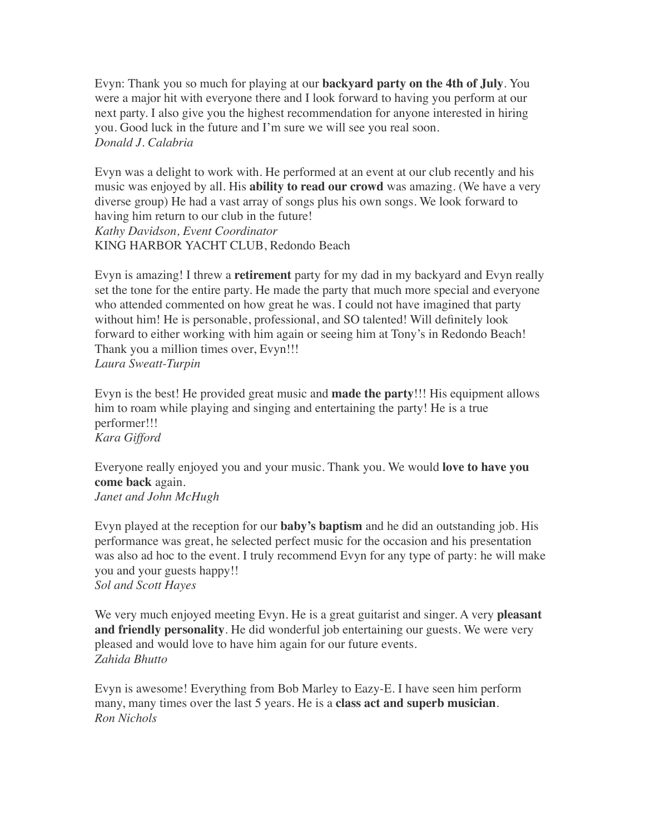Evyn: Thank you so much for playing at our **backyard party on the 4th of July**. You were a major hit with everyone there and I look forward to having you perform at our next party. I also give you the highest recommendation for anyone interested in hiring you. Good luck in the future and I'm sure we will see you real soon. *Donald J. Calabria*

Evyn was a delight to work with. He performed at an event at our club recently and his music was enjoyed by all. His **ability to read our crowd** was amazing. (We have a very diverse group) He had a vast array of songs plus his own songs. We look forward to having him return to our club in the future! *Kathy Davidson, Event Coordinator* KING HARBOR YACHT CLUB, Redondo Beach

Evyn is amazing! I threw a **retirement** party for my dad in my backyard and Evyn really set the tone for the entire party. He made the party that much more special and everyone who attended commented on how great he was. I could not have imagined that party without him! He is personable, professional, and SO talented! Will definitely look forward to either working with him again or seeing him at Tony's in Redondo Beach! Thank you a million times over, Evyn!!! *Laura Sweatt-Turpin*

Evyn is the best! He provided great music and **made the party**!!! His equipment allows him to roam while playing and singing and entertaining the party! He is a true performer!!! *Kara Gifford*

Everyone really enjoyed you and your music. Thank you. We would **love to have you come back** again. *Janet and John McHugh*

Evyn played at the reception for our **baby's baptism** and he did an outstanding job. His performance was great, he selected perfect music for the occasion and his presentation was also ad hoc to the event. I truly recommend Evyn for any type of party: he will make you and your guests happy!! *Sol and Scott Hayes*

We very much enjoyed meeting Evyn. He is a great guitarist and singer. A very **pleasant and friendly personality**. He did wonderful job entertaining our guests. We were very pleased and would love to have him again for our future events. *Zahida Bhutto*

Evyn is awesome! Everything from Bob Marley to Eazy-E. I have seen him perform many, many times over the last 5 years. He is a **class act and superb musician**. *Ron Nichols*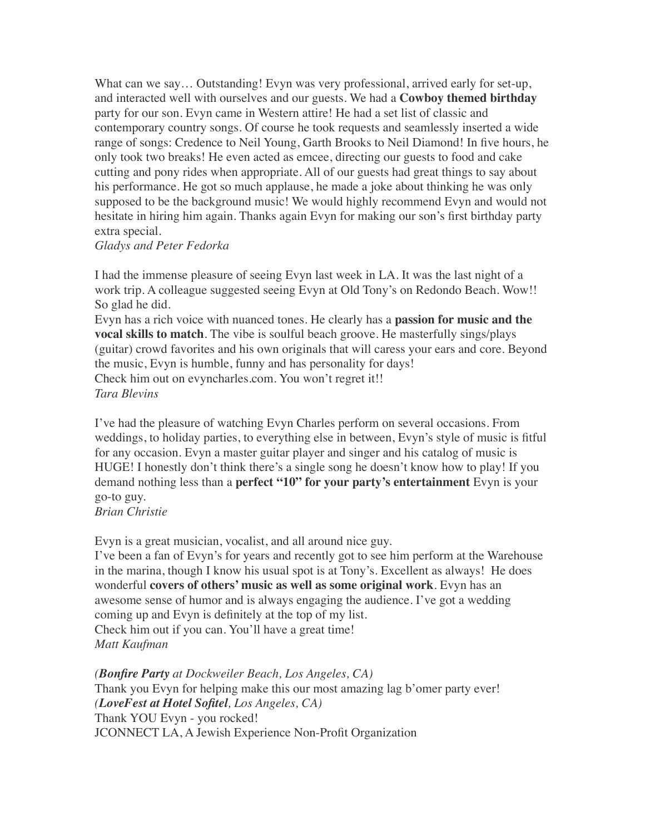What can we say... Outstanding! Evyn was very professional, arrived early for set-up, and interacted well with ourselves and our guests. We had a **Cowboy themed birthday** party for our son. Evyn came in Western attire! He had a set list of classic and contemporary country songs. Of course he took requests and seamlessly inserted a wide range of songs: Credence to Neil Young, Garth Brooks to Neil Diamond! In five hours, he only took two breaks! He even acted as emcee, directing our guests to food and cake cutting and pony rides when appropriate. All of our guests had great things to say about his performance. He got so much applause, he made a joke about thinking he was only supposed to be the background music! We would highly recommend Evyn and would not hesitate in hiring him again. Thanks again Evyn for making our son's first birthday party extra special.

#### *Gladys and Peter Fedorka*

I had the immense pleasure of seeing Evyn last week in LA. It was the last night of a work trip. A colleague suggested seeing Evyn at Old Tony's on Redondo Beach. Wow!! So glad he did.

Evyn has a rich voice with nuanced tones. He clearly has a **passion for music and the vocal skills to match**. The vibe is soulful beach groove. He masterfully sings/plays (guitar) crowd favorites and his own originals that will caress your ears and core. Beyond the music, Evyn is humble, funny and has personality for days! Check him out on [evyncharles.com.](https://biz.yelp.com/redir?url=http%253A%252F%252Fwww.evyncharles.com%252F&s=194d0419f5dca96d47e3f82ccaa1463a64ce80edee71ed64f97a6acdd35b17c6) You won't regret it!! *Tara Blevins*

I've had the pleasure of watching Evyn Charles perform on several occasions. From weddings, to holiday parties, to everything else in between, Evyn's style of music is fitful for any occasion. Evyn a master guitar player and singer and his catalog of music is HUGE! I honestly don't think there's a single song he doesn't know how to play! If you demand nothing less than a **perfect "10" for your party's entertainment** Evyn is your go-to guy.

# *Brian Christie*

Evyn is a great musician, vocalist, and all around nice guy.

I've been a fan of Evyn's for years and recently got to see him perform at the Warehouse in the marina, though I know his usual spot is at Tony's. Excellent as always! He does wonderful **covers of others' music as well as some original work**. Evyn has an awesome sense of humor and is always engaging the audience. I've got a wedding coming up and Evyn is definitely at the top of my list. Check him out if you can. You'll have a great time! *Matt Kaufman*

# *(Bonfire Party at Dockweiler Beach, Los Angeles, CA)*

Thank you Evyn for helping make this our most amazing lag b'omer party ever! *(LoveFest at Hotel Sofitel, Los Angeles, CA)* Thank YOU Evyn - you rocked! JCONNECT LA, A Jewish Experience Non-Profit Organization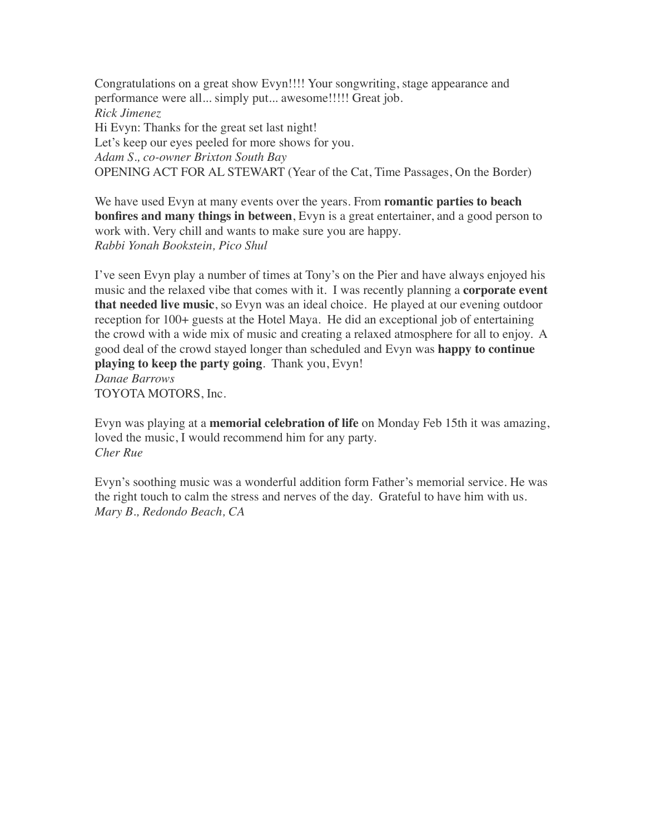Congratulations on a great show Evyn!!!! Your songwriting, stage appearance and performance were all... simply put... awesome!!!!! Great job. *Rick Jimenez* Hi Evyn: Thanks for the great set last night! Let's keep our eyes peeled for more shows for you. *Adam S., co-owner Brixton South Bay* OPENING ACT FOR AL STEWART (Year of the Cat, Time Passages, On the Border)

We have used Evyn at many events over the years. From **romantic parties to beach bonfires and many things in between**, Evyn is a great entertainer, and a good person to work with. Very chill and wants to make sure you are happy. *Rabbi Yonah Bookstein, Pico Shul*

I've seen Evyn play a number of times at Tony's on the Pier and have always enjoyed his music and the relaxed vibe that comes with it. I was recently planning a **corporate event that needed live music**, so Evyn was an ideal choice. He played at our evening outdoor reception for 100+ guests at the Hotel Maya. He did an exceptional job of entertaining the crowd with a wide mix of music and creating a relaxed atmosphere for all to enjoy. A good deal of the crowd stayed longer than scheduled and Evyn was **happy to continue playing to keep the party going**. Thank you, Evyn! *Danae Barrows* TOYOTA MOTORS, Inc.

Evyn was playing at a **memorial celebration of life** on Monday Feb 15th it was amazing, loved the music, I would recommend him for any party. *Cher Rue*

Evyn's soothing music was a wonderful addition form Father's memorial service. He was the right touch to calm the stress and nerves of the day. Grateful to have him with us. *Mary B., Redondo Beach, CA*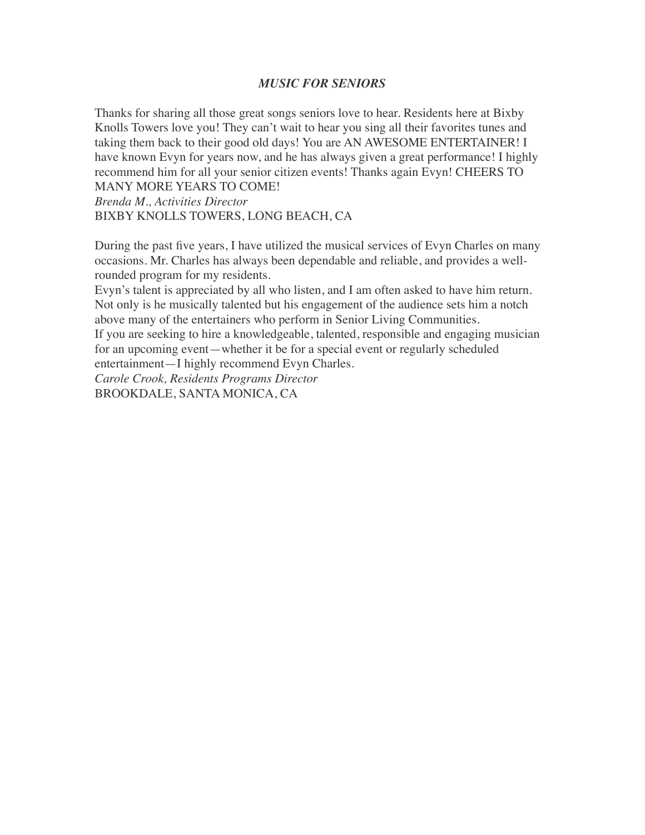### *MUSIC FOR SENIORS*

Thanks for sharing all those great songs seniors love to hear. Residents here at Bixby Knolls Towers love you! They can't wait to hear you sing all their favorites tunes and taking them back to their good old days! You are AN AWESOME ENTERTAINER! I have known Evyn for years now, and he has always given a great performance! I highly recommend him for all your senior citizen events! Thanks again Evyn! CHEERS TO MANY MORE YEARS TO COME!

*Brenda M., Activities Director* BIXBY KNOLLS TOWERS, LONG BEACH, CA

During the past five years, I have utilized the musical services of Evyn Charles on many occasions. Mr. Charles has always been dependable and reliable, and provides a wellrounded program for my residents.

Evyn's talent is appreciated by all who listen, and I am often asked to have him return. Not only is he musically talented but his engagement of the audience sets him a notch above many of the entertainers who perform in Senior Living Communities.

If you are seeking to hire a knowledgeable, talented, responsible and engaging musician for an upcoming event—whether it be for a special event or regularly scheduled entertainment—I highly recommend Evyn Charles.

*Carole Crook, Residents Programs Director* BROOKDALE, SANTA MONICA, CA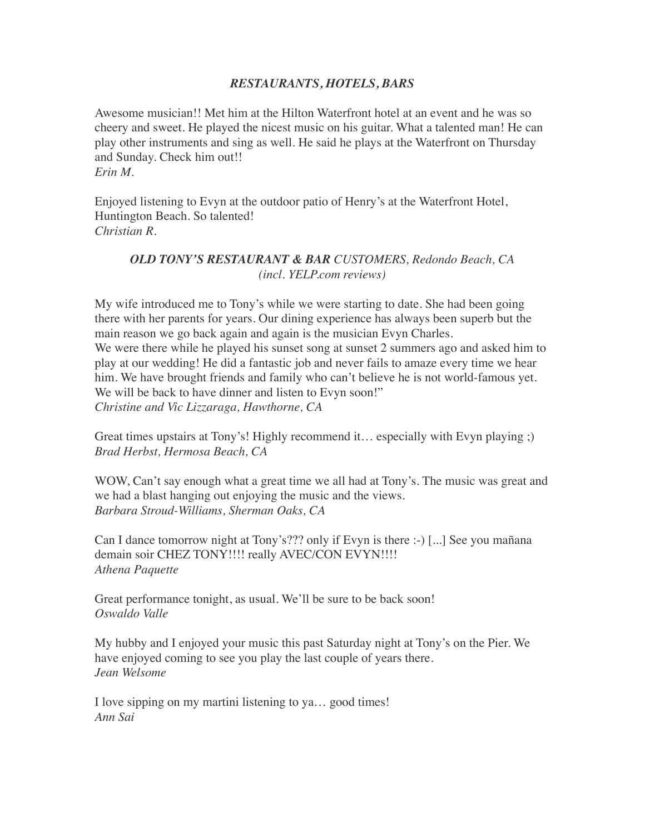## *RESTAURANTS, HOTELS, BARS*

Awesome musician!! Met him at the Hilton Waterfront hotel at an event and he was so cheery and sweet. He played the nicest music on his guitar. What a talented man! He can play other instruments and sing as well. He said he plays at the Waterfront on Thursday and Sunday. Check him out!! *Erin M.*

Enjoyed listening to Evyn at the outdoor patio of Henry's at the Waterfront Hotel, Huntington Beach. So talented! *Christian R.*

# *OLD TONY'S RESTAURANT & BAR CUSTOMERS, Redondo Beach, CA (incl. YELP.com reviews)*

My wife introduced me to Tony's while we were starting to date. She had been going there with her parents for years. Our dining experience has always been superb but the main reason we go back again and again is the musician Evyn Charles. We were there while he played his sunset song at sunset 2 summers ago and asked him to play at our wedding! He did a fantastic job and never fails to amaze every time we hear him. We have brought friends and family who can't believe he is not world-famous yet. We will be back to have dinner and listen to Evyn soon!" *Christine and Vic Lizzaraga, Hawthorne, CA*

Great times upstairs at Tony's! Highly recommend it… especially with Evyn playing ;) *Brad Herbst, Hermosa Beach, CA*

WOW, Can't say enough what a great time we all had at Tony's. The music was great and we had a blast hanging out enjoying the music and the views. *Barbara Stroud-Williams, Sherman Oaks, CA*

Can I dance tomorrow night at Tony's??? only if Evyn is there :-) [...] See you mañana demain soir CHEZ TONY!!!! really AVEC/CON EVYN!!!! *Athena Paquette*

Great performance tonight, as usual. We'll be sure to be back soon! *Oswaldo Valle*

My hubby and I enjoyed your music this past Saturday night at Tony's on the Pier. We have enjoyed coming to see you play the last couple of years there. *Jean Welsome*

I love sipping on my martini listening to ya… good times! *Ann Sai*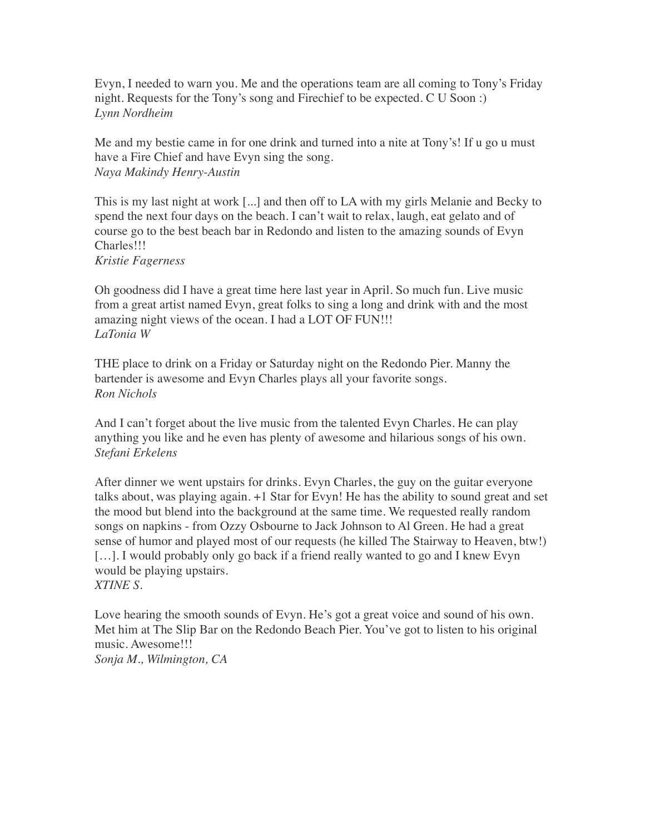Evyn, I needed to warn you. Me and the operations team are all coming to Tony's Friday night. Requests for the Tony's song and Firechief to be expected. C U Soon :) *Lynn Nordheim*

Me and my bestie came in for one drink and turned into a nite at Tony's! If u go u must have a Fire Chief and have Evyn sing the song. *Naya Makindy Henry-Austin*

This is my last night at work [...] and then off to LA with my girls Melanie and Becky to spend the next four days on the beach. I can't wait to relax, laugh, eat gelato and of course go to the best beach bar in Redondo and listen to the amazing sounds of Evyn Charles!!! *Kristie Fagerness*

Oh goodness did I have a great time here last year in April. So much fun. Live music from a great artist named Evyn, great folks to sing a long and drink with and the most amazing night views of the ocean. I had a LOT OF FUN!!! *LaTonia W*

THE place to drink on a Friday or Saturday night on the Redondo Pier. Manny the bartender is awesome and Evyn Charles plays all your favorite songs. *Ron Nichols*

And I can't forget about the live music from the talented Evyn Charles. He can play anything you like and he even has plenty of awesome and hilarious songs of his own. *Stefani Erkelens*

After dinner we went upstairs for drinks. Evyn Charles, the guy on the guitar everyone talks about, was playing again. +1 Star for Evyn! He has the ability to sound great and set the mood but blend into the background at the same time. We requested really random songs on napkins - from Ozzy Osbourne to Jack Johnson to Al Green. He had a great sense of humor and played most of our requests (he killed The Stairway to Heaven, btw!) [...]. I would probably only go back if a friend really wanted to go and I knew Evyn would be playing upstairs. *XTINE S.*

Love hearing the smooth sounds of Evyn. He's got a great voice and sound of his own. Met him at The Slip Bar on the Redondo Beach Pier. You've got to listen to his original music. Awesome!!! *Sonja M., Wilmington, CA*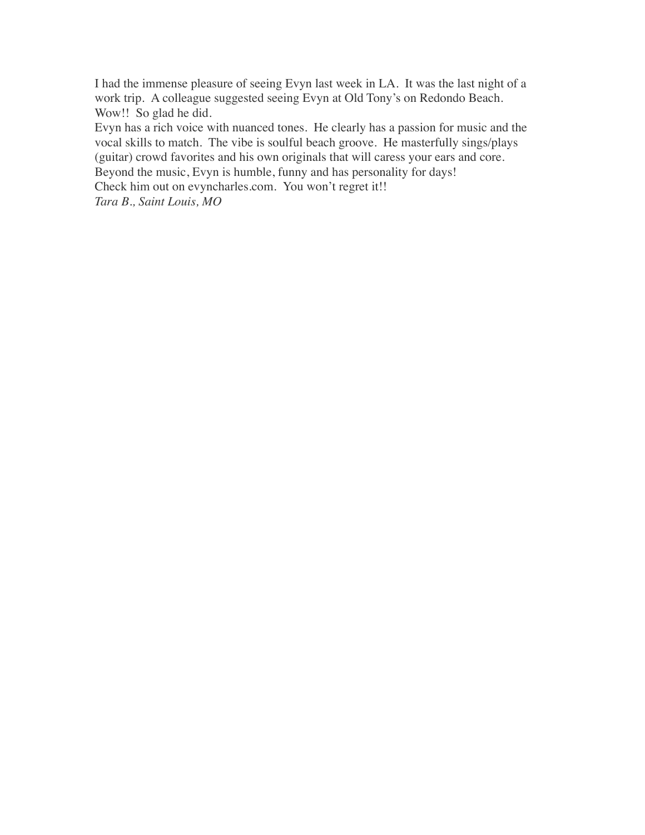I had the immense pleasure of seeing Evyn last week in LA. It was the last night of a work trip. A colleague suggested seeing Evyn at Old Tony's on Redondo Beach. Wow!! So glad he did.

Evyn has a rich voice with nuanced tones. He clearly has a passion for music and the vocal skills to match. The vibe is soulful beach groove. He masterfully sings/plays (guitar) crowd favorites and his own originals that will caress your ears and core. Beyond the music, Evyn is humble, funny and has personality for days!

Check him out on [evyncharles.com.](https://www.yelp.com/redir?url=http%253A%252F%252Fwww.evyncharles.com%252F&s=194d0419f5dca96d47e3f82ccaa1463a64ce80edee71ed64f97a6acdd35b17c6) You won't regret it!!

*Tara B., Saint Louis, MO*